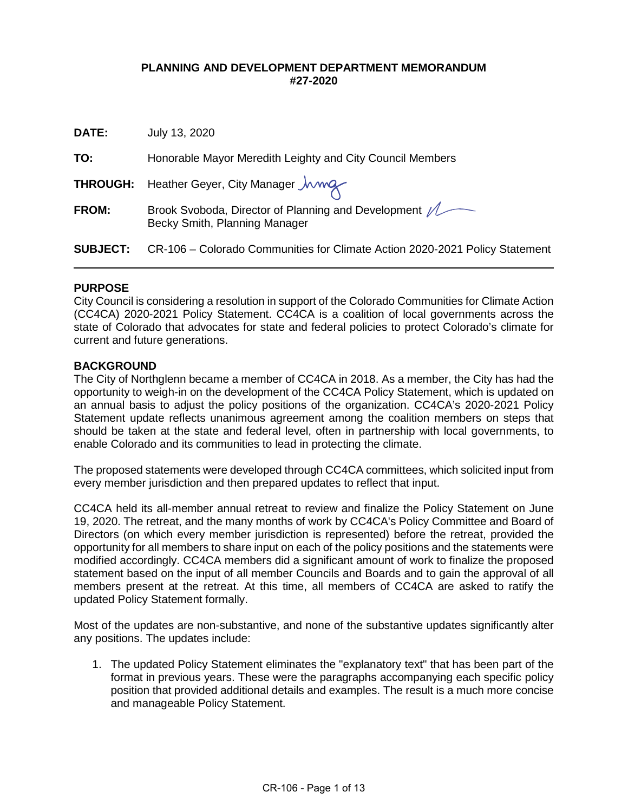## **PLANNING AND DEVELOPMENT DEPARTMENT MEMORANDUM #27-2020**

**DATE:** July 13, 2020

**TO:** Honorable Mayor Meredith Leighty and City Council Members

**THROUGH:** Heather Geyer, City Manager  $\mu$ 

| <b>FROM:</b> | Brook Svoboda, Director of Planning and Development / |
|--------------|-------------------------------------------------------|
|              | Becky Smith, Planning Manager                         |

**SUBJECT:** CR-106 – Colorado Communities for Climate Action 2020-2021 Policy Statement

### **PURPOSE**

 $\overline{a}$ 

City Council is considering a resolution in support of the Colorado Communities for Climate Action (CC4CA) 2020-2021 Policy Statement. CC4CA is a coalition of local governments across the state of Colorado that advocates for state and federal policies to protect Colorado's climate for current and future generations.

## **BACKGROUND**

The City of Northglenn became a member of CC4CA in 2018. As a member, the City has had the opportunity to weigh-in on the development of the CC4CA Policy Statement, which is updated on an annual basis to adjust the policy positions of the organization. CC4CA's 2020-2021 Policy Statement update reflects unanimous agreement among the coalition members on steps that should be taken at the state and federal level, often in partnership with local governments, to enable Colorado and its communities to lead in protecting the climate.

The proposed statements were developed through CC4CA committees, which solicited input from every member jurisdiction and then prepared updates to reflect that input.

CC4CA held its all-member annual retreat to review and finalize the Policy Statement on June 19, 2020. The retreat, and the many months of work by CC4CA's Policy Committee and Board of Directors (on which every member jurisdiction is represented) before the retreat, provided the opportunity for all members to share input on each of the policy positions and the statements were modified accordingly. CC4CA members did a significant amount of work to finalize the proposed statement based on the input of all member Councils and Boards and to gain the approval of all members present at the retreat. At this time, all members of CC4CA are asked to ratify the updated Policy Statement formally.

Most of the updates are non-substantive, and none of the substantive updates significantly alter any positions. The updates include:

1. The updated Policy Statement eliminates the "explanatory text" that has been part of the format in previous years. These were the paragraphs accompanying each specific policy position that provided additional details and examples. The result is a much more concise and manageable Policy Statement.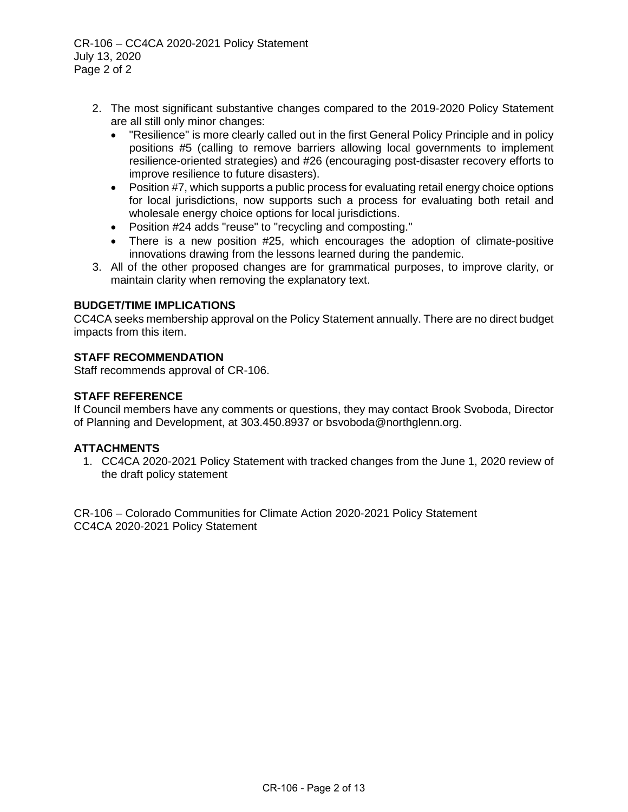CR-106 – CC4CA 2020-2021 Policy Statement July 13, 2020 Page 2 of 2

- 2. The most significant substantive changes compared to the 2019-2020 Policy Statement are all still only minor changes:
	- "Resilience" is more clearly called out in the first General Policy Principle and in policy positions #5 (calling to remove barriers allowing local governments to implement resilience-oriented strategies) and #26 (encouraging post-disaster recovery efforts to improve resilience to future disasters).
	- Position #7, which supports a public process for evaluating retail energy choice options for local jurisdictions, now supports such a process for evaluating both retail and wholesale energy choice options for local jurisdictions.
	- Position #24 adds "reuse" to "recycling and composting."
	- There is a new position #25, which encourages the adoption of climate-positive innovations drawing from the lessons learned during the pandemic.
- 3. All of the other proposed changes are for grammatical purposes, to improve clarity, or maintain clarity when removing the explanatory text.

## **BUDGET/TIME IMPLICATIONS**

CC4CA seeks membership approval on the Policy Statement annually. There are no direct budget impacts from this item.

## **STAFF RECOMMENDATION**

Staff recommends approval of CR-106.

## **STAFF REFERENCE**

If Council members have any comments or questions, they may contact Brook Svoboda, Director of Planning and Development, at 303.450.8937 or [bsvoboda@northglenn.org.](mailto:bsvoboda@northglenn.org)

### **ATTACHMENTS**

1. CC4CA 2020-2021 Policy Statement with tracked changes from the June 1, 2020 review of the draft policy statement

CR-106 – Colorado Communities for Climate Action 2020-2021 Policy Statement CC4CA 2020-2021 Policy Statement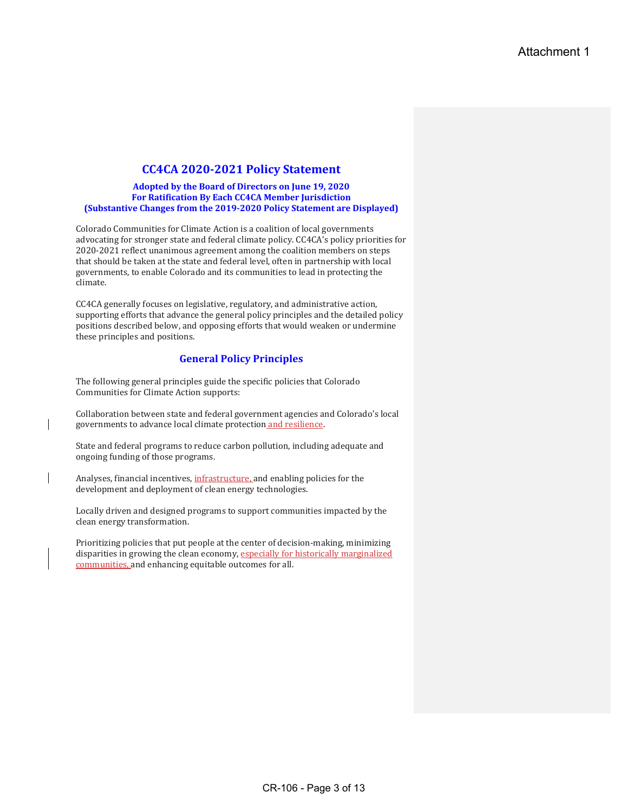## **CC4CA 2020-2021 Policy Statement**

#### Adopted by the Board of Directors on June 19, 2020 **For Ratification By Each CC4CA Member Jurisdiction (Substantive Changes from the 2019-2020 Policy Statement are Displayed)**

Colorado Communities for Climate Action is a coalition of local governments advocating for stronger state and federal climate policy. CC4CA's policy priorities for 2020-2021 reflect unanimous agreement among the coalition members on steps that should be taken at the state and federal level, often in partnership with local governments, to enable Colorado and its communities to lead in protecting the climate. 

CC4CA generally focuses on legislative, regulatory, and administrative action, supporting efforts that advance the general policy principles and the detailed policy positions described below, and opposing efforts that would weaken or undermine these principles and positions.

### **General Policy Principles**

The following general principles guide the specific policies that Colorado Communities for Climate Action supports:

Collaboration between state and federal government agencies and Colorado's local governments to advance local climate protection and resilience.

State and federal programs to reduce carbon pollution, including adequate and ongoing funding of those programs.

Analyses, financial incentives, *infrastructure*, and enabling policies for the development and deployment of clean energy technologies.

Locally driven and designed programs to support communities impacted by the clean energy transformation.

Prioritizing policies that put people at the center of decision-making, minimizing disparities in growing the clean economy, especially for historically marginalized communities, and enhancing equitable outcomes for all.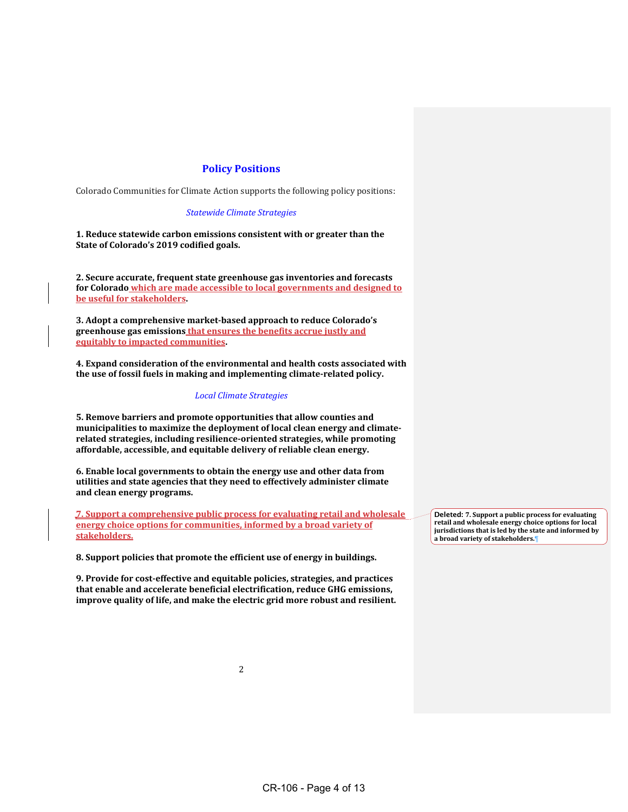#### **Policy Positions**

Colorado Communities for Climate Action supports the following policy positions:

#### *Statewide Climate Strategies*

**1. Reduce statewide carbon emissions consistent with or greater than the**  State of Colorado's 2019 codified goals.

**2. Secure accurate, frequent state greenhouse gas inventories and forecasts** for Colorado which are made accessible to local governments and designed to **be** useful for stakeholders.

**3. Adopt a comprehensive market-based approach to reduce Colorado's**  greenhouse gas emissions that ensures the benefits accrue justly and **<u>equitably to impacted communities</u>** 

**4. Expand consideration of the environmental and health costs associated with** the use of fossil fuels in making and implementing climate-related policy.

#### *Local Climate Strategies*

**5. Remove barriers and promote opportunities that allow counties and**  municipalities to maximize the deployment of local clean energy and climate**related strategies, including resilience-oriented strategies, while promoting** affordable, accessible, and equitable delivery of reliable clean energy.

**6.** Enable local governments to obtain the energy use and other data from utilities and state agencies that they need to effectively administer climate **and clean energy programs.**

**7. Support a comprehensive public process for evaluating retail and wholesale energy choice options for communities, informed by a broad variety of stakeholders.**

**8. Support policies that promote the efficient use of energy in buildings.** 

**9. Provide for cost-effective and equitable policies, strategies, and practices that enable and accelerate beneficial electrification, reduce GHG emissions, improve quality of life, and make the electric grid more robust and resilient.** **Deleted: 7. Support a public process for evaluating** retail and wholesale energy choice options for local jurisdictions that is led by the state and informed by **a broad variety of stakeholders.¶**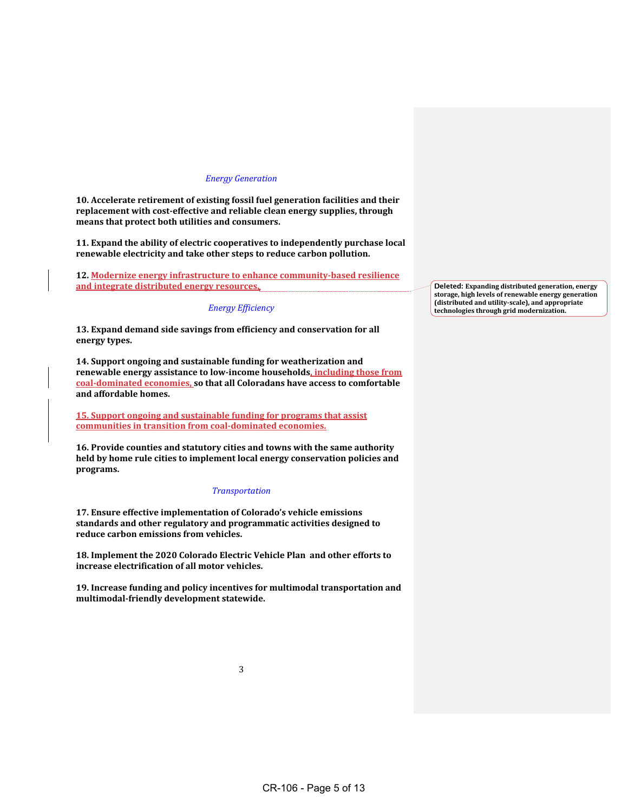#### *Energy Generation*

**10.** Accelerate retirement of existing fossil fuel generation facilities and their replacement with cost-effective and reliable clean energy supplies, through means that protect both utilities and consumers.

**11.** Expand the ability of electric cooperatives to independently purchase local renewable electricity and take other steps to reduce carbon pollution.

**12. Modernize energy infrastructure to enhance community-based resilience** and integrate distributed energy resources.

#### *Energy Efficiency*

13. Expand demand side savings from efficiency and conservation for all **energy types.** 

**14. Support ongoing and sustainable funding for weatherization and** renewable energy assistance to low-income households, including those from coal-dominated economies, so that all Coloradans have access to comfortable **and affordable homes.**

**15. Support ongoing and sustainable funding for programs that assist** communities in transition from coal-dominated economies.

**16. Provide counties and statutory cities and towns with the same authority** held by home rule cities to implement local energy conservation policies and **programs.**

#### *Transportation*

**17. Ensure effective implementation of Colorado's vehicle emissions**  standards and other regulatory and programmatic activities designed to reduce carbon emissions from vehicles.

**18. Implement the 2020 Colorado Electric Vehicle Plan and other efforts to increase electrification of all motor vehicles.**

19. Increase funding and policy incentives for multimodal transportation and **multimodal-friendly development statewide.**

3

**Deleted: Expanding distributed generation, energy**  storage, high levels of renewable energy generation **(distributed and utility-scale), and appropriate technologies through grid modernization.**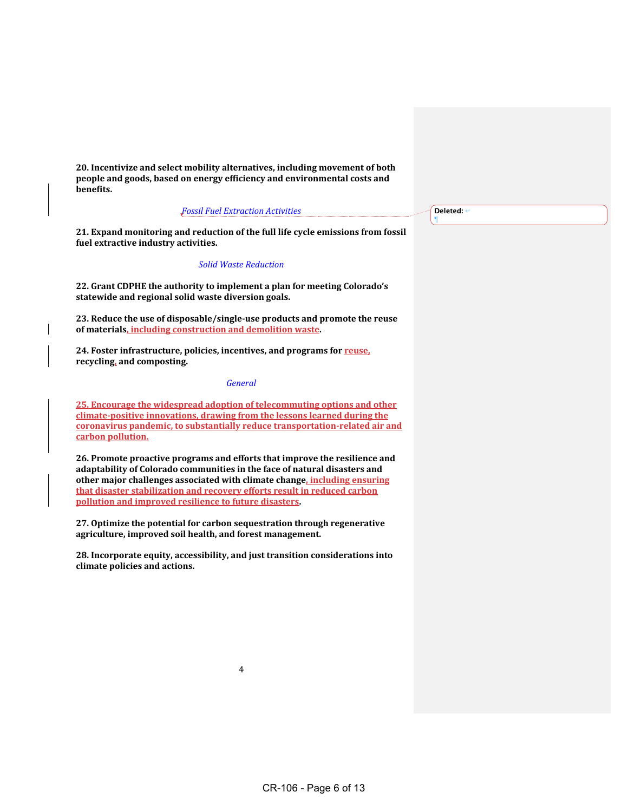**20. Incentivize and select mobility alternatives, including movement of both**  people and goods, based on energy efficiency and environmental costs and **benefits.** 

#### *Fossil Fuel Extraction Activities*

**21.** Expand monitoring and reduction of the full life cycle emissions from fossil fuel extractive industry activities.

#### *Solid Waste Reduction*

22. Grant CDPHE the authority to implement a plan for meeting Colorado's statewide and regional solid waste diversion goals.

23. Reduce the use of disposable/single-use products and promote the reuse of materials, including construction and demolition waste.

24. Foster infrastructure, policies, incentives, and programs for **reuse**, **recycling, and composting.**

#### *General*

**25. Encourage the widespread adoption of telecommuting options and other climate-positive innovations, drawing from the lessons learned during the** coronavirus pandemic, to substantially reduce transportation-related air and **carbon** pollution.

**26. Promote proactive programs and efforts that improve the resilience and**  adaptability of Colorado communities in the face of natural disasters and **other major challenges associated with climate change, including ensuring that disaster stabilization and recovery efforts result in reduced carbon pollution and improved resilience to future disasters.** 

**27.** Optimize the potential for carbon sequestration through regenerative agriculture, improved soil health, and forest management.

**28. Incorporate equity, accessibility, and just transition considerations into**  climate policies and actions.

Deleted:  $\leftarrow$ ¶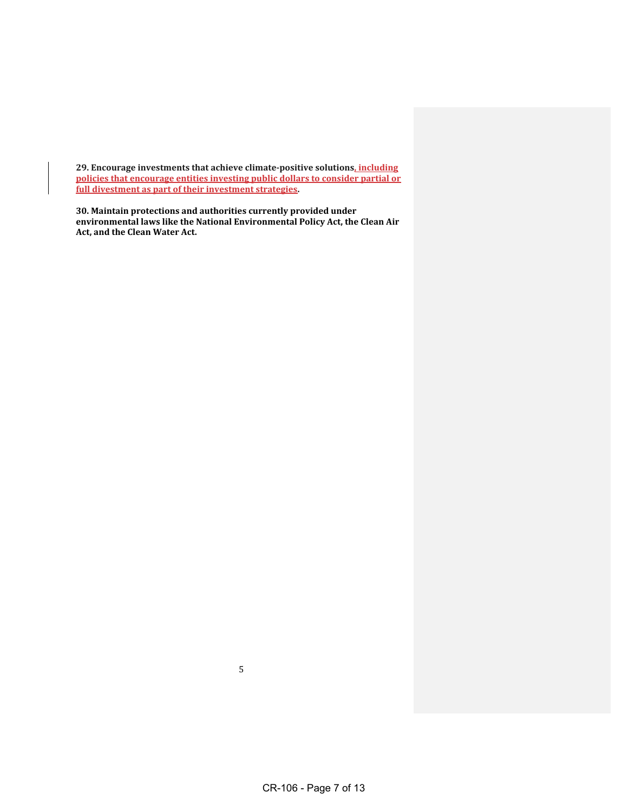**29. Encourage investments that achieve climate-positive solutions<u>, including</u> policies that encourage entities investing public dollars to consider partial or** full divestment as part of their investment strategies.

**30. Maintain protections and authorities currently provided under** environmental laws like the National Environmental Policy Act, the Clean Air Act, and the Clean Water Act.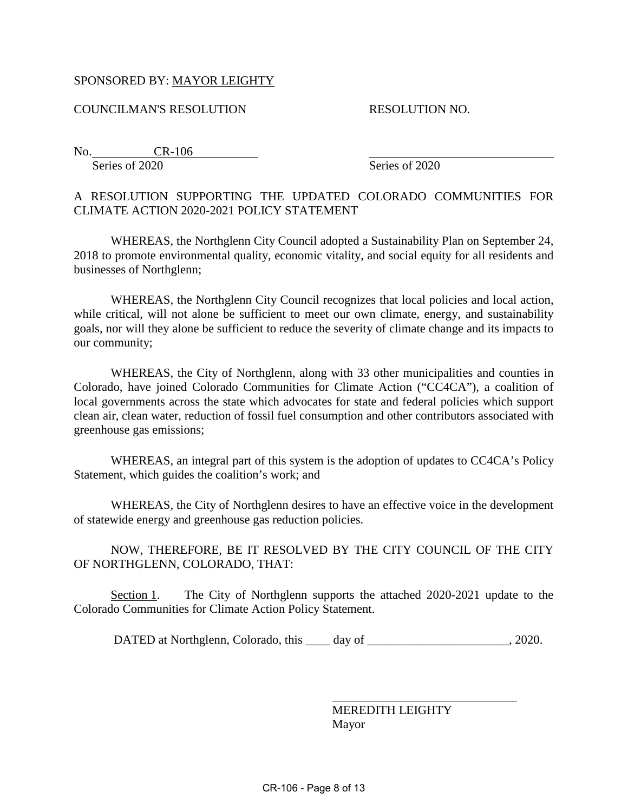# SPONSORED BY: MAYOR LEIGHTY

COUNCILMAN'S RESOLUTION RESOLUTION NO.

No. CR-106 Series of 2020 Series of 2020

# A RESOLUTION SUPPORTING THE UPDATED COLORADO COMMUNITIES FOR CLIMATE ACTION 2020-2021 POLICY STATEMENT

WHEREAS, the Northglenn City Council adopted a Sustainability Plan on September 24, 2018 to promote environmental quality, economic vitality, and social equity for all residents and businesses of Northglenn;

WHEREAS, the Northglenn City Council recognizes that local policies and local action, while critical, will not alone be sufficient to meet our own climate, energy, and sustainability goals, nor will they alone be sufficient to reduce the severity of climate change and its impacts to our community;

WHEREAS, the City of Northglenn, along with 33 other municipalities and counties in Colorado, have joined Colorado Communities for Climate Action ("CC4CA"), a coalition of local governments across the state which advocates for state and federal policies which support clean air, clean water, reduction of fossil fuel consumption and other contributors associated with greenhouse gas emissions;

WHEREAS, an integral part of this system is the adoption of updates to CC4CA's Policy Statement, which guides the coalition's work; and

WHEREAS, the City of Northglenn desires to have an effective voice in the development of statewide energy and greenhouse gas reduction policies.

NOW, THEREFORE, BE IT RESOLVED BY THE CITY COUNCIL OF THE CITY OF NORTHGLENN, COLORADO, THAT:

Section 1. The City of Northglenn supports the attached 2020-2021 update to the Colorado Communities for Climate Action Policy Statement.

DATED at Northglenn, Colorado, this \_\_\_\_ day of \_\_\_\_\_\_\_\_\_\_\_\_\_\_\_\_\_\_\_\_\_\_, 2020.

 $\overline{a}$ 

MEREDITH LEIGHTY Mayor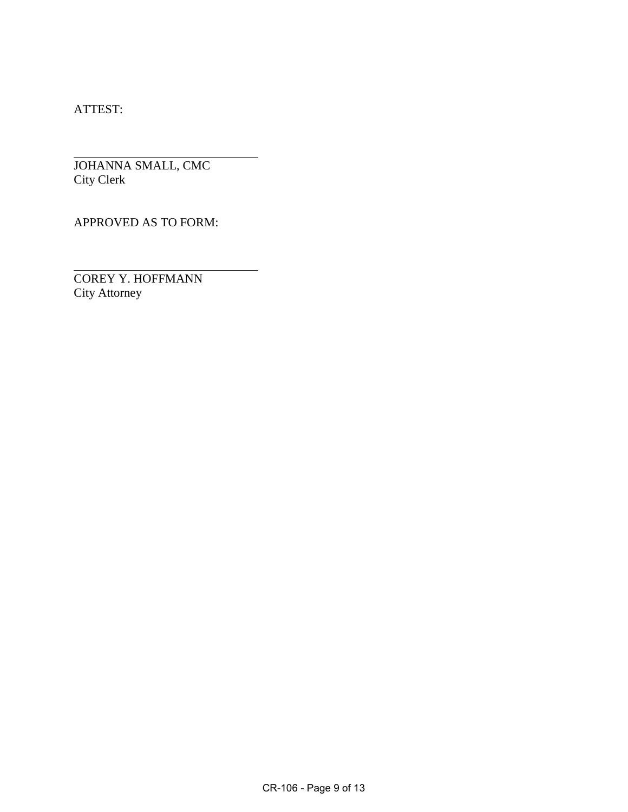ATTEST:

 $\overline{a}$ 

 $\overline{a}$ 

JOHANNA SMALL, CMC City Clerk

APPROVED AS TO FORM:

COREY Y. HOFFMANN City Attorney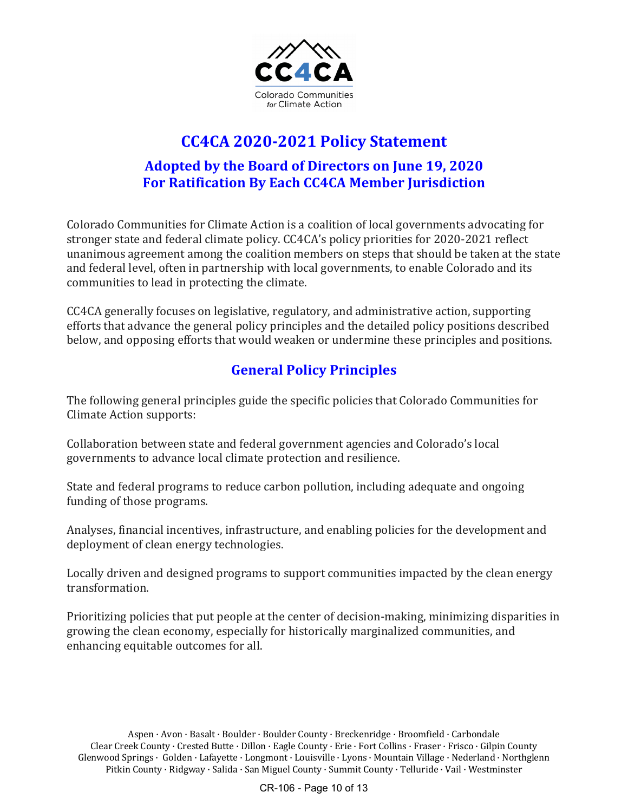

# **CC4CA 2020-2021 Policy Statement Adopted by the Board of Directors on June 19, 2020 For Ratification By Each CC4CA Member Jurisdiction**

Colorado Communities for Climate Action is a coalition of local governments advocating for stronger state and federal climate policy. CC4CA's policy priorities for 2020-2021 reflect unanimous agreement among the coalition members on steps that should be taken at the state and federal level, often in partnership with local governments, to enable Colorado and its communities to lead in protecting the climate.

CC4CA generally focuses on legislative, regulatory, and administrative action, supporting efforts that advance the general policy principles and the detailed policy positions described below, and opposing efforts that would weaken or undermine these principles and positions.

# **General Policy Principles**

The following general principles guide the specific policies that Colorado Communities for Climate Action supports:

Collaboration between state and federal government agencies and Colorado's local governments to advance local climate protection and resilience.

State and federal programs to reduce carbon pollution, including adequate and ongoing funding of those programs.

Analyses, financial incentives, infrastructure, and enabling policies for the development and deployment of clean energy technologies.

Locally driven and designed programs to support communities impacted by the clean energy transformation.

Prioritizing policies that put people at the center of decision-making, minimizing disparities in growing the clean economy, especially for historically marginalized communities, and enhancing equitable outcomes for all.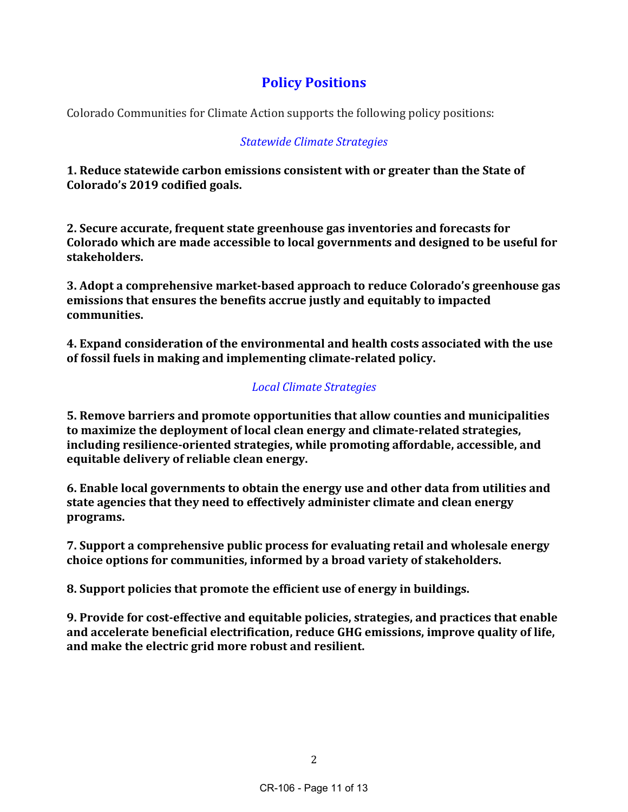# **Policy Positions**

Colorado Communities for Climate Action supports the following policy positions:

# *Statewide Climate Strategies*

**1.** Reduce statewide carbon emissions consistent with or greater than the State of **Colorado's 2019 codified goals.**

**2. Secure accurate, frequent state greenhouse gas inventories and forecasts for Colorado** which are made accessible to local governments and designed to be useful for **stakeholders.** 

**3.** Adopt a comprehensive market-based approach to reduce Colorado's greenhouse gas **emissions that ensures the benefits accrue justly and equitably to impacted communities.**

**4. Expand consideration of the environmental and health costs associated with the use** of fossil fuels in making and implementing climate-related policy.

# *Local Climate Strategies*

**5. Remove barriers and promote opportunities that allow counties and municipalities** to maximize the deployment of local clean energy and climate-related strategies, including resilience-oriented strategies, while promoting affordable, accessible, and equitable delivery of reliable clean energy.

**6.** Enable local governments to obtain the energy use and other data from utilities and state agencies that they need to effectively administer climate and clean energy **programs.**

**7.** Support a comprehensive public process for evaluating retail and wholesale energy **choice options for communities, informed by a broad variety of stakeholders.**

**8.** Support policies that promote the efficient use of energy in buildings.

**9.** Provide for cost-effective and equitable policies, strategies, and practices that enable **and accelerate beneficial electrification, reduce GHG emissions, improve quality of life,**  and make the electric grid more robust and resilient.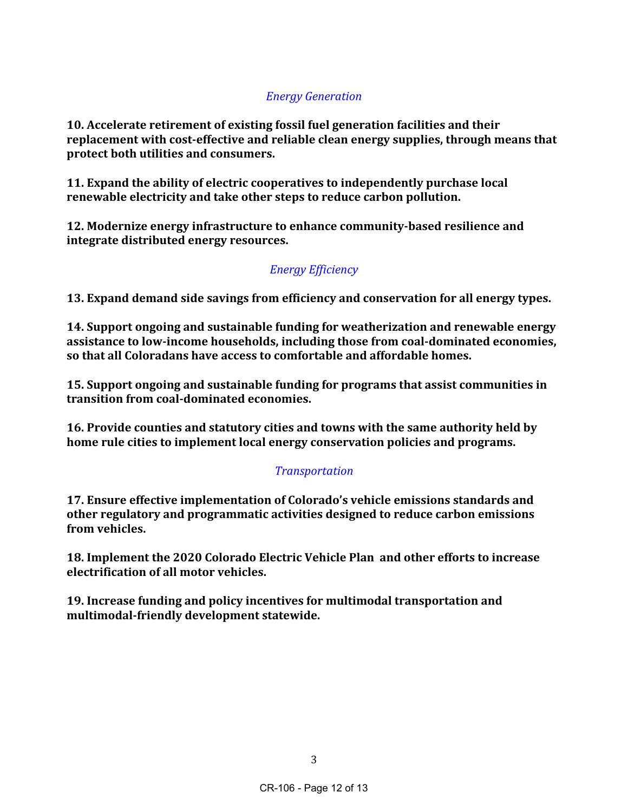# *Energy Generation*

**10.** Accelerate retirement of existing fossil fuel generation facilities and their replacement with cost-effective and reliable clean energy supplies, through means that **protect both utilities and consumers.** 

**11.** Expand the ability of electric cooperatives to independently purchase local renewable electricity and take other steps to reduce carbon pollution.

**12. Modernize energy infrastructure to enhance community-based resilience and integrate distributed energy resources.** 

# *Energy Efficiency*

**13. Expand demand side savings from efficiency and conservation for all energy types.** 

**14.** Support ongoing and sustainable funding for weatherization and renewable energy assistance to low-income households, including those from coal-dominated economies, so that all Coloradans have access to comfortable and affordable homes.

**15. Support ongoing and sustainable funding for programs that assist communities in transition from coal-dominated economies.**

**16. Provide counties and statutory cities and towns with the same authority held by home rule cities to implement local energy conservation policies and programs.** 

# *Transportation*

**17. Ensure effective implementation of Colorado's vehicle emissions standards and** other regulatory and programmatic activities designed to reduce carbon emissions **from vehicles.**

**18. Implement the 2020 Colorado Electric Vehicle Plan and other efforts to increase electrification of all motor vehicles.**

**19. Increase funding and policy incentives for multimodal transportation and multimodal-friendly development statewide.**